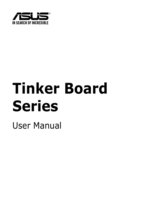

# **Tinker Board Series**

User Manual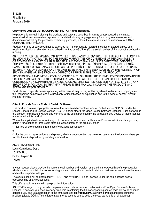E15215 First Edition February 2019

#### **Copyright© 2019 ASUSTeK COMPUTER INC. All Rights Reserved.**

No part of this manual, including the products and software described in it, may be reproduced, transmitted, transcribed, stored in a retrieval system, or translated into any language in any form or by any means, except documentation kept by the purchaser for backup purposes, without the express written permission of ASUSTeK COMPUTER INC. ("ASUS").

Product warranty or service will not be extended if: (1) the product is repaired, modified or altered, unless such repair, modification of alteration is authorized in writing by ASUS; or (2) the serial number of the product is defaced or missing.

ASUS PROVIDES THIS MANUAL "AS IS" WITHOUT WARRANTY OF ANY KIND, EITHER EXPRESS OR IMPLIED, INCLUDING BUT NOT LIMITED TO THE IMPLIED WARRANTIES OR CONDITIONS OF MERCHANTABILITY OR FITNESS FOR A PARTICULAR PURPOSE. IN NO EVENT SHALL ASUS, ITS DIRECTORS, OFFICERS, EMPLOYEES OR AGENTS BE LIABLE FOR ANY INDIRECT, SPECIAL, INCIDENTAL, OR CONSEQUENTIAL DAMAGES (INCLUDING DAMAGES FOR LOSS OF PROFITS, LOSS OF BUSINESS, LOSS OF USE OR DATA, INTERRUPTION OF BUSINESS AND THE LIKE), EVEN IF ASUS HAS BEEN ADVISED OF THE POSSIBILITY OF SUCH DAMAGES ARISING FROM ANY DEFECT OR ERROR IN THIS MANUAL OR PRODUCT.

SPECIFICATIONS AND INFORMATION CONTAINED IN THIS MANUAL ARE FURNISHED FOR INFORMATIONAL USE ONLY, AND ARE SUBJECT TO CHANGE AT ANY TIME WI THOUT NOTICE, AND SHOULD NOT BE CONSTRUED AS A COMMITMENT BY ASUS. ASUS ASSUMES NO RESPONSIBILITY OR LIABILITY FOR ANY ERRORS OR INACCURACIES THAT MAY APPEAR IN THIS MANUAL, INCLUDING THE PRODUCTS AND SOFTWARE DESCRIBED IN IT.

Products and corporate names appearing in this manual may or may not be registered trademarks or copyrights of their respective companies, and are used only for identification or explanation and to the owners' benefit, without intent to infringe.

#### **Offer to Provide Source Code of Certain Software**

This product contains copyrighted software that is licensed under the General Public License ("GPL"), under the Lesser General Public License Version ("LGPL") and/or other Free Open Source Software Licenses. Such software in this product is distributed without any warranty to the extent permitted by the applicable law. Copies of these licenses are included in this product.

Where the applicable license entitles you to the source code of such software and/or other additional data, you may obtain it for a period of three years after our last shipment of the product, either

(1) for free by downloading it from https://www.asus.com/support/

or

(2) for the cost of reproduction and shipment, which is dependent on the preferred carrier and the location where you want to have it shipped to, by sending a request to:

ASUSTeK Computer Inc. Legal Compliance Dept. 15 Li Te Rd., Beitou, Taipei 112 Taiwan

In your request please provide the name, model number and version, as stated in the About Box of the product for which you wish to obtain the corresponding source code and your contact details so that we can coordinate the terms and cost of shipment with you.

The source code will be distributed WITHOUT ANY WARRANTY and licensed under the same license as the corresponding binary/object code.

This offer is valid to anyone in receipt of this information.

ASUSTeK is eager to duly provide complete source code as required under various Free Open Source Software licenses. If however you encounter any problems in obtaining the full corresponding source code we would be much obliged if you give us a notification to the email address **gpl@asus.com**, stating the product and describing the problem (please DO NOT send large attachments such as source code archives, etc. to this email address).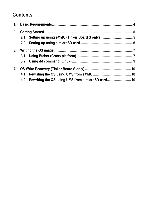### **Contents**

| 2. |     |                                                       |  |
|----|-----|-------------------------------------------------------|--|
|    | 2.1 |                                                       |  |
|    |     |                                                       |  |
| 3. |     |                                                       |  |
|    |     |                                                       |  |
|    |     |                                                       |  |
| 4. |     |                                                       |  |
|    | 4.1 |                                                       |  |
|    |     | 4.2 Rewriting the OS using UMS from a microSD card 10 |  |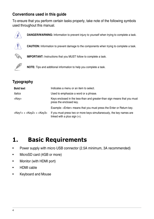### <span id="page-3-0"></span>**Conventions used in this guide**

To ensure that you perform certain tasks properly, take note of the following symbols used throughout this manual.



**DANGER/WARNING:** Information to prevent injury to yourself when trying to complete a task.



**CAUTION:** Information to prevent damage to the components when trying to complete a task.



**IMPORTANT:** Instructions that you MUST follow to complete a task.



**NOTE:** Tips and additional information to help you complete a task.

### **Typography**

| <b>Bold text</b>                  | Indicates a menu or an item to select.                                                                  |
|-----------------------------------|---------------------------------------------------------------------------------------------------------|
| Italics                           | Used to emphasize a word or a phrase.                                                                   |
| <key></key>                       | Keys enclosed in the less-than and greater-than sign means that you must<br>press the enclosed key.     |
|                                   | Example: <enter> means that you must press the Enter or Return key.</enter>                             |
| $<$ Key1> + $<$ Key2> + $<$ Key3> | If you must press two or more keys simultaneously, the key names are<br>linked with a plus sign $(+)$ . |

# **1. Basic Requirements**

- Power supply with micro USB connector (2.5A minimum, 3A recommended)
- MicroSD card (4GB or more)
- Monitor (with HDMI port)
- HDMI cable
- Keyboard and Mouse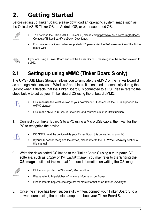# <span id="page-4-0"></span>**2. Getting Started**

Before setting up Tinker Board, please download an operating system image such as the Official ASUS Tinker OS, an Android OS, or other supported OS'.



- To download the Official ASUS Tinker OS, please visit https://www.asus.com/Single-Board-Computer/Tinker-Board/HelpDesk\_Download/.
- For more information on other supported OS', please visit the **Software** section of the Tinker board Wiki.



If you are using a Tinker Board and not the Tinker Board S, please ignore the sections related to eMMC.

# **2.1 Setting up using eMMC (Tinker Board S only)**

The UMS (USB Mass Storage) allows you to simulate the eMMC of the Tinker Board S as a recognizable device in Windows® and Linux. It is enabled automatically during the U-Boot when it detects that the Tinker Board S is connected to a PC. Please refer to the steps below to set up your Tinker Board OS using the onboard eMMC:



- Ensure to use the latest version of your downloaded OS to ensure the OS is supported by eMMC storage.
- Ensure the eMMC's U-Boot is functional, and contains a built-in UMS function.
- 1. Connect your Tinker Board S to a PC using a Micro USB cable, then wait for the PC to recognize the device.



- DO NOT format the device while your Tinker Board S is connected to your PC.
- If your PC doesn't recognize the device, please refer to the **OS Write Recovery** section of this manual.
- 2. Write the downloaded OS image to the Tinker Board S using a third-party ISO software, such as Etcher or Win32DiskImager. You may refer to the **Writing the OS image** section of this manual for more information on writing the OS image.



- Etcher is supported on Windows®, Mac, and Linux.
- Please refer to http://etcher.io/ for more information on Etcher.
- Please refer to http://sourceforge.net for more information on Win32DiskImager.
- 3. Once the image has been successfully written, connect your Tinker Board S to a power source using the bundled adapter to boot your Tinker Board S.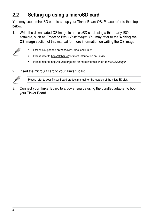# <span id="page-5-0"></span>**2.2 Setting up using a microSD card**

You may use a mircoSD card to set up your Tinker Board OS. Please refer to the steps below.

1. Write the downloaded OS image to a microSD card using a third-party ISO software, such as Etcher or Win32DiskImager. You may refer to the **Writing the OS image** section of this manual for more information on writing the OS image.



- Etcher is supported on Windows®, Mac, and Linux.
- Please refer to http://etcher.io/ for more information on *Etcher.*
- Please refer to http://sourceforge.net for more information on Win32DiskImager.
- 2. Insert the microSD card to your Tinker Board.



Please refer to your Tinker Board product manual for the location of the microSD slot.

3. Connect your Tinker Board to a power source using the bundled adapter to boot your Tinker Board.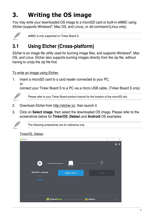# <span id="page-6-0"></span>**3. Writing the OS image**

You may write your downloaded OS image to a microSD card or built-in eMMC using Etcher (supports Windows®, Mac OS, and Linux), or dd command (Linux only).



eMMC is only supported on Tinker Board S.

# **3.1 Using Etcher (Cross-platform)**

Etcher is an image file utility used for burning image files, and supports Windows®, Mac OS, and Linux. Etcher also supports burning images directly from the zip file, without having to unzip the zip file first.

### To write an image using Etcher:

1. Insert a microSD card to a card reader connected to your PC, or

connect your Tinker Board S to a PC via a micro USB cable. (Tinker Board S only)



Please refer to your Tinker Board product manual for the location of the microSD slot.

- 2. Download Etcher from http://etcher.io/, then launch it.
- 3. Click on **Select image**, then select the downloaded OS image. Please refer to the screenshots below for **TinkerOS\_Debian** and **Android** OS examples:



The following screenshots are for reference only.

### TinkerOS\_Debian

| Etcher             |                                                  |        | $\overline{\phantom{0}}$ | $\times$<br>$\Box$ |
|--------------------|--------------------------------------------------|--------|--------------------------|--------------------|
|                    |                                                  |        |                          | $\bullet$<br>۰à    |
|                    |                                                  |        |                          |                    |
|                    |                                                  |        |                          |                    |
|                    |                                                  |        |                          |                    |
| $\pm$              |                                                  |        |                          |                    |
|                    |                                                  |        |                          |                    |
| 20181023-8.img.zip | Select drive                                     |        | Flash!                   |                    |
| 3.18 GB<br>Change  |                                                  |        |                          |                    |
|                    |                                                  |        |                          |                    |
|                    |                                                  |        |                          |                    |
|                    |                                                  |        |                          |                    |
|                    | <b>balenaEtcher</b> is an open source project by | balena |                          | 1.4.9              |
|                    |                                                  |        |                          |                    |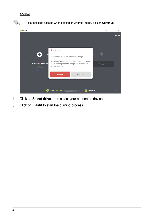#### Android



- 4. Click on **Select drive**, then select your connected device.
- 5. Click on **Flash!** to start the burning process.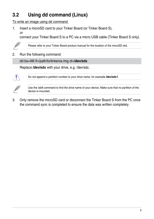# <span id="page-8-0"></span>**3.2 Using dd command (Linux)**

To write an image using dd command:

1. Insert a microSD card to your Tinker Board (or Tinker Board S), or

connect your Tinker Board S to a PC via a micro USB cable (Tinker Board S only).



Please refer to your Tinker Board product manual for the location of the microSD slot.

2. Run the following command:

dd bs=4M if=/path/to/tinkeros.img of=**/dev/sdx**

Replace **/dev/sdx** with your drive, e.g. /dev/sdc.



Do not append a partition number to your drive name, for example **/dev/sdc1**.



Use the *Isblk* command to find the drive name of your device. Make sure that no partition of the device is mounted.

3. Only remove the microSD card or disconnect the Tinker Board S from the PC once the command sync is completed to ensure the data was written completely.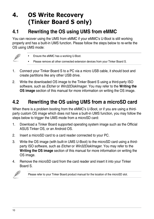# <span id="page-9-0"></span>**4. OS Write Recovery (Tinker Board S only)**

## **4.1 Rewriting the OS using UMS from eMMC**

You can recover using the UMS from eMMC if your eMMC's U-Boot is still working properly and has a built-in UMS function. Please follow the steps below to re-write the OS using UMS mode:



- Ensure the eMMC has a working U-Boot.
- Please remove all other connected extension devices from your Tinker Board S.
- 1. Connect your Tinker Board S to a PC via a micro USB cable, it should boot and create partitions like any other USB drive.
- 2. Write the downloaded OS image to the Tinker Board S using a third-party ISO software, such as Etcher or Win32DiskImager. You may refer to the **Writing the OS image** section of this manual for more information on writing the OS image.

### **4.2 Rewriting the OS using UMS from a microSD card**

When there is a problem booting from the eMMC's U-Boot, or if you are using a thirdparty custom OS image which does not have a built-in UMS function, you may follow the steps below to trigger the UMS mode from a microSD card:

- 1. Download a Tinker Board supported operating system image such as the Official ASUS Tinker OS, or an Android OS.
- 2. Insert a microSD card to a card reader connected to your PC.
- 3. Write the OS image (with built-in UMS U-Boot) to the microSD card using a thirdparty ISO software, such as Etcher or Win32DiskImager. You may refer to the **Writing the OS image** section of this manual for more information on writing the OS image.
- 4. Remove the microSD card from the card reader and insert it into your Tinker Board S.



Please refer to your Tinker Board product manual for the location of the microSD slot.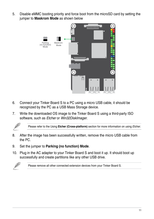5. Disable eMMC booting priority and force boot from the microSD card by setting the jumper to **Maskrom Mode** as shown below



- 6. Connect your Tinker Board S to a PC using a micro USB cable, it should be recognized by the PC as a USB Mass Storage device.
- 7. Write the downloaded OS image to the Tinker Board S using a third-party ISO software, such as Etcher or Win32DiskImager.



Please refer to the Using Etcher (Cross-platform) section for more information on using *Etcher*.

- 8. After the image has been successfully written, remove the micro USB cable from the PC.
- 9. Set the jumper to **Parking (no function) Mode**.
- 10. Plug in the AC adapter to your Tinker Board S and boot it up. It should boot up successfully and create partitions like any other USB drive.



Please remove all other connected extension devices from your Tinker Board S.